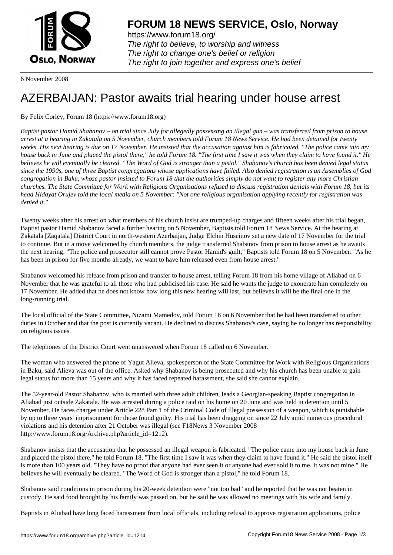

https://www.forum18.org/ The right to believe, to worship and witness The right to change one's belief or religion [The right to join together a](https://www.forum18.org/)nd express one's belief

6 November 2008

## [AZERBAIJAN: P](https://www.forum18.org)astor awaits trial hearing under house arrest

By Felix Corley, Forum 18 (https://www.forum18.org)

*Baptist pastor Hamid Shabanov – on trial since July for allegedly possessing an illegal gun – was transferred from prison to house arrest at a hearing in Zakatala on 5 November, church members told Forum 18 News Service. He had been detained for twenty weeks. His next hearing is due on 17 November. He insisted that the accusation against him is fabricated. "The police came into my house back in June and placed the pistol there," he told Forum 18. "The first time I saw it was when they claim to have found it." He believes he will eventually be cleared. "The Word of God is stronger than a pistol." Shabanov's church has been denied legal status since the 1990s, one of three Baptist congregations whose applications have failed. Also denied registration is an Assemblies of God congregation in Baku, whose pastor insisted to Forum 18 that the authorities simply do not want to register any more Christian churches. The State Committee for Work with Religious Organisations refused to discuss registration denials with Forum 18, but its head Hidayat Orujev told the local media on 5 November: "Not one religious organisation applying recently for registration was denied it."*

Twenty weeks after his arrest on what members of his church insist are trumped-up charges and fifteen weeks after his trial began, Baptist pastor Hamid Shabanov faced a further hearing on 5 November, Baptists told Forum 18 News Service. At the hearing at Zakatala [Zaqatala] District Court in north-western Azerbaijan, Judge Elchin Huseinov set a new date of 17 November for the trial to continue. But in a move welcomed by church members, the judge transferred Shabanov from prison to house arrest as he awaits the next hearing. "The police and prosecutor still cannot prove Pastor Hamid's guilt," Baptists told Forum 18 on 5 November. "As he has been in prison for five months already, we want to have him released even from house arrest."

Shabanov welcomed his release from prison and transfer to house arrest, telling Forum 18 from his home village of Aliabad on 6 November that he was grateful to all those who had publicised his case. He said he wants the judge to exonerate him completely on 17 November. He added that he does not know how long this new hearing will last, but believes it will be the final one in the long-running trial.

The local official of the State Committee, Nizami Mamedov, told Forum 18 on 6 November that he had been transferred to other duties in October and that the post is currently vacant. He declined to discuss Shabanov's case, saying he no longer has responsibility on religious issues.

The telephones of the District Court went unanswered when Forum 18 called on 6 November.

The woman who answered the phone of Yagut Alieva, spokesperson of the State Committee for Work with Religious Organisations in Baku, said Alieva was out of the office. Asked why Shabanov is being prosecuted and why his church has been unable to gain legal status for more than 15 years and why it has faced repeated harassment, she said she cannot explain.

The 52-year-old Pastor Shabanov, who is married with three adult children, leads a Georgian-speaking Baptist congregation in Aliabad just outside Zakatala. He was arrested during a police raid on his home on 20 June and was held in detention until 5 November. He faces charges under Article 228 Part 1 of the Criminal Code of illegal possession of a weapon, which is punishable by up to three years' imprisonment for those found guilty. His trial has been dragging on since 22 July amid numerous procedural violations and his detention after 21 October was illegal (see F18News 3 November 2008 http://www.forum18.org/Archive.php?article\_id=1212).

Shabanov insists that the accusation that he possessed an illegal weapon is fabricated. "The police came into my house back in June and placed the pistol there," he told Forum 18. "The first time I saw it was when they claim to have found it." He said the pistol itself is more than 100 years old. "They have no proof that anyone had ever seen it or anyone had ever sold it to me. It was not mine." He believes he will eventually be cleared. "The Word of God is stronger than a pistol," he told Forum 18.

Shabanov said conditions in prison during his 20-week detention were "not too bad" and he reported that he was not beaten in custody. He said food brought by his family was passed on, but he said he was allowed no meetings with his wife and family.

Baptists in Aliabad have long faced harassment from local officials, including refusal to approve registration applications, police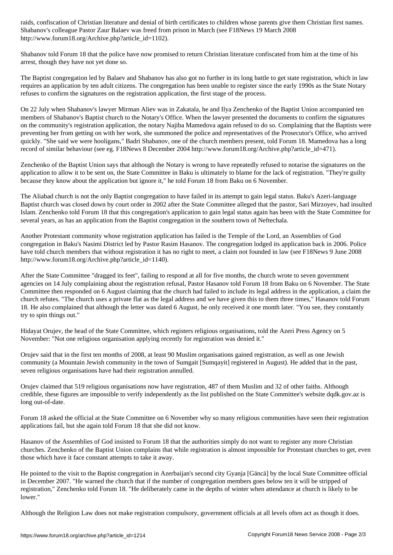Shabanov's colleague Pastor Zaur Balaev was freed from prison in March (see F18News 19 March 2008 http://www.forum18.org/Archive.php?article\_id=1102).

Shabanov told Forum 18 that the police have now promised to return Christian literature confiscated from him at the time of his arrest, though they have not yet done so.

The Baptist congregation led by Balaev and Shabanov has also got no further in its long battle to get state registration, which in law requires an application by ten adult citizens. The congregation has been unable to register since the early 1990s as the State Notary refuses to confirm the signatures on the registration application, the first stage of the process.

On 22 July when Shabanov's lawyer Mirman Aliev was in Zakatala, he and Ilya Zenchenko of the Baptist Union accompanied ten members of Shabanov's Baptist church to the Notary's Office. When the lawyer presented the documents to confirm the signatures on the community's registration application, the notary Najiba Mamedova again refused to do so. Complaining that the Baptists were preventing her from getting on with her work, she summoned the police and representatives of the Prosecutor's Office, who arrived quickly. "She said we were hooligans," Badri Shabanov, one of the church members present, told Forum 18. Mamedova has a long record of similar behaviour (see eg. F18News 8 December 2004 http://www.forum18.org/Archive.php?article\_id=471).

Zenchenko of the Baptist Union says that although the Notary is wrong to have repeatedly refused to notarise the signatures on the application to allow it to be sent on, the State Committee in Baku is ultimately to blame for the lack of registration. "They're guilty because they know about the application but ignore it," he told Forum 18 from Baku on 6 November.

The Aliabad church is not the only Baptist congregation to have failed in its attempt to gain legal status. Baku's Azeri-language Baptist church was closed down by court order in 2002 after the State Committee alleged that the pastor, Sari Mirzoyev, had insulted Islam. Zenchenko told Forum 18 that this congregation's application to gain legal status again has been with the State Committee for several years, as has an application from the Baptist congregation in the southern town of Neftechala.

Another Protestant community whose registration application has failed is the Temple of the Lord, an Assemblies of God congregation in Baku's Nasimi District led by Pastor Rasim Hasanov. The congregation lodged its application back in 2006. Police have told church members that without registration it has no right to meet, a claim not founded in law (see F18News 9 June 2008 http://www.forum18.org/Archive.php?article\_id=1140).

After the State Committee "dragged its feet", failing to respond at all for five months, the church wrote to seven government agencies on 14 July complaining about the registration refusal, Pastor Hasanov told Forum 18 from Baku on 6 November. The State Committee then responded on 6 August claiming that the church had failed to include its legal address in the application, a claim the church refutes. "The church uses a private flat as the legal address and we have given this to them three times," Hasanov told Forum 18. He also complained that although the letter was dated 6 August, he only received it one month later. "You see, they constantly try to spin things out."

Hidayat Orujev, the head of the State Committee, which registers religious organisations, told the Azeri Press Agency on 5 November: "Not one religious organisation applying recently for registration was denied it."

Orujev said that in the first ten months of 2008, at least 90 Muslim organisations gained registration, as well as one Jewish community (a Mountain Jewish community in the town of Sumgait [Sumqayit] registered in August). He added that in the past, seven religious organisations have had their registration annulled.

Orujev claimed that 519 religious organisations now have registration, 487 of them Muslim and 32 of other faiths. Although credible, these figures are impossible to verify independently as the list published on the State Committee's website dqdk.gov.az is long out-of-date.

Forum 18 asked the official at the State Committee on 6 November why so many religious communities have seen their registration applications fail, but she again told Forum 18 that she did not know.

Hasanov of the Assemblies of God insisted to Forum 18 that the authorities simply do not want to register any more Christian churches. Zenchenko of the Baptist Union complains that while registration is almost impossible for Protestant churches to get, even those which have it face constant attempts to take it away.

He pointed to the visit to the Baptist congregation in Azerbaijan's second city Gyanja [Gäncä] by the local State Committee official in December 2007. "He warned the church that if the number of congregation members goes below ten it will be stripped of registration," Zenchenko told Forum 18. "He deliberately came in the depths of winter when attendance at church is likely to be lower."

Although the Religion Law does not make registration compulsory, government officials at all levels often act as though it does.